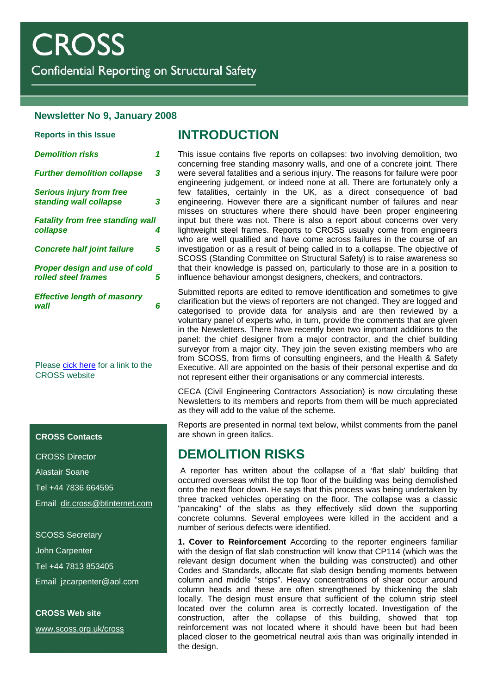Confidential Reporting on Structural Safety

#### **Newsletter No 9, January 2008**

| <b>Reports in this Issue</b>                                |   |
|-------------------------------------------------------------|---|
| <b>Demolition risks</b>                                     | 1 |
| <b>Further demolition collapse</b>                          | 3 |
| <b>Serious injury from free</b><br>standing wall collapse   | 3 |
| <b>Fatality from free standing wall</b><br>collapse         | 4 |
| <b>Concrete half joint failure</b>                          | 5 |
| <b>Proper design and use of cold</b><br>rolled steel frames | 5 |
| <b>Effective length of masonry</b><br>wall                  | 6 |
|                                                             |   |

Please [cick here](http://www.scoss.org.uk/cross) for a link to the CROSS website

#### **CROSS Contacts**

CROSS Director

Alastair Soane

Tel +44 7836 664595

Email [dir.cross@btinternet.com](mailto:dir.cross@btinternet.com)

SCOSS Secretary

John Carpenter

Tel +44 7813 853405

Email [jzcarpenter@aol.com](mailto:jzcarpenter@aol.com)

**CROSS Web site**  [www.scoss.org.uk/cross](http://www.scoss.org.uk/cross)

## **INTRODUCTION**

This issue contains five reports on collapses: two involving demolition, two concerning free standing masonry walls, and one of a concrete joint. There were several fatalities and a serious injury. The reasons for failure were poor engineering judgement, or indeed none at all. There are fortunately only a few fatalities, certainly in the UK, as a direct consequence of bad engineering. However there are a significant number of failures and near misses on structures where there should have been proper engineering input but there was not. There is also a report about concerns over very lightweight steel frames. Reports to CROSS usually come from engineers who are well qualified and have come across failures in the course of an investigation or as a result of being called in to a collapse. The objective of SCOSS (Standing Committee on Structural Safety) is to raise awareness so that their knowledge is passed on, particularly to those are in a position to influence behaviour amongst designers, checkers, and contractors.

Submitted reports are edited to remove identification and sometimes to give clarification but the views of reporters are not changed. They are logged and categorised to provide data for analysis and are then reviewed by a voluntary panel of experts who, in turn, provide the comments that are given in the Newsletters. There have recently been two important additions to the panel: the chief designer from a major contractor, and the chief building surveyor from a major city. They join the seven existing members who are from SCOSS, from firms of consulting engineers, and the Health & Safety Executive. All are appointed on the basis of their personal expertise and do not represent either their organisations or any commercial interests.

CECA (Civil Engineering Contractors Association) is now circulating these Newsletters to its members and reports from them will be much appreciated as they will add to the value of the scheme.

Reports are presented in normal text below, whilst comments from the panel are shown in green italics.

# **DEMOLITION RISKS**

 A reporter has written about the collapse of a 'flat slab' building that occurred overseas whilst the top floor of the building was being demolished onto the next floor down. He says that this process was being undertaken by three tracked vehicles operating on the floor. The collapse was a classic "pancaking" of the slabs as they effectively slid down the supporting concrete columns. Several employees were killed in the accident and a number of serious defects were identified.

**1. Cover to Reinforcement** According to the reporter engineers familiar with the design of flat slab construction will know that CP114 (which was the relevant design document when the building was constructed) and other Codes and Standards, allocate flat slab design bending moments between column and middle "strips". Heavy concentrations of shear occur around column heads and these are often strengthened by thickening the slab locally. The design must ensure that sufficient of the column strip steel located over the column area is correctly located. Investigation of the construction, after the collapse of this building, showed that top reinforcement was not located where it should have been but had been placed closer to the geometrical neutral axis than was originally intended in the design.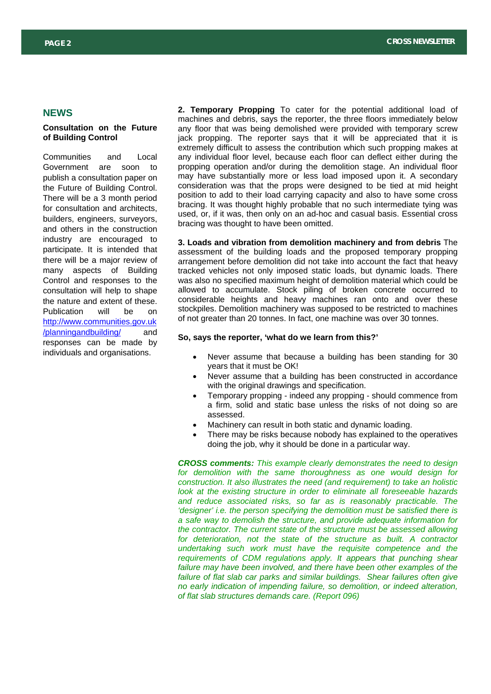#### **NEWS**

#### **Consultation on the Future of Building Control**

Communities and Local Government are soon to publish a consultation paper on the Future of Building Control. There will be a 3 month period for consultation and architects, builders, engineers, surveyors, and others in the construction industry are encouraged to participate. It is intended that there will be a major review of many aspects of Building Control and responses to the consultation will help to shape the nature and extent of these. Publication will be on [http://www.communities.gov.uk](http://www.communities.gov.uk/planningandbuilding/) /planningandbuilding/ and responses can be made by individuals and organisations.

**2. Temporary Propping** To cater for the potential additional load of machines and debris, says the reporter, the three floors immediately below any floor that was being demolished were provided with temporary screw jack propping. The reporter says that it will be appreciated that it is extremely difficult to assess the contribution which such propping makes at any individual floor level, because each floor can deflect either during the propping operation and/or during the demolition stage. An individual floor may have substantially more or less load imposed upon it. A secondary consideration was that the props were designed to be tied at mid height position to add to their load carrying capacity and also to have some cross bracing. It was thought highly probable that no such intermediate tying was used, or, if it was, then only on an ad-hoc and casual basis. Essential cross bracing was thought to have been omitted.

**3. Loads and vibration from demolition machinery and from debris** The assessment of the building loads and the proposed temporary propping arrangement before demolition did not take into account the fact that heavy tracked vehicles not only imposed static loads, but dynamic loads. There was also no specified maximum height of demolition material which could be allowed to accumulate. Stock piling of broken concrete occurred to considerable heights and heavy machines ran onto and over these stockpiles. Demolition machinery was supposed to be restricted to machines of not greater than 20 tonnes. In fact, one machine was over 30 tonnes.

### **S** [/planningandbuilding/](http://www.communities.gov.uk/planningandbuilding/) **o, says the reporter, 'what do we learn from this?'**

- Never assume that because a building has been standing for 30 years that it must be OK!
- Never assume that a building has been constructed in accordance with the original drawings and specification.
- Temporary propping indeed any propping should commence from a firm, solid and static base unless the risks of not doing so are assessed.
- Machinery can result in both static and dynamic loading.
- There may be risks because nobody has explained to the operatives doing the job, why it should be done in a particular way.

*CROSS comments: This example clearly demonstrates the need to design for demolition with the same thoroughness as one would design for construction. It also illustrates the need (and requirement) to take an holistic look at the existing structure in order to eliminate all foreseeable hazards and reduce associated risks, so far as is reasonably practicable. The 'designer' i.e. the person specifying the demolition must be satisfied there is a safe way to demolish the structure, and provide adequate information for the contractor. The current state of the structure must be assessed allowing*  for deterioration, not the state of the structure as built. A contractor *undertaking such work must have the requisite competence and the requirements of CDM regulations apply. It appears that punching shear failure may have been involved, and there have been other examples of the failure of flat slab car parks and similar buildings. Shear failures often give no early indication of impending failure, so demolition, or indeed alteration, of flat slab structures demands care. (Report 096)*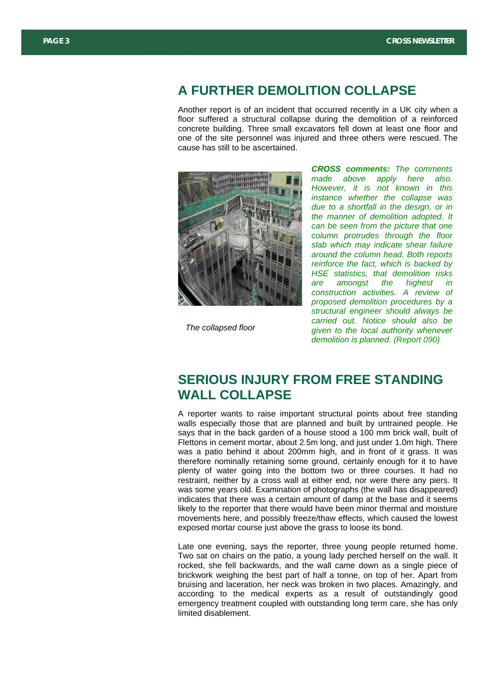#### **A FURTHER DEMOLITION COLLAPSE**

Another report is of an incident that occurred recently in a UK city when a floor suffered a structural collapse during the demolition of a reinforced concrete building. Three small excavators fell down at least one floor and one of the site personnel was injured and three others were rescued. The cause has still to be ascertained.



*The collapsed floor* 

*CROSS comments: The comments made above apply here also. However, it is not known in this instance whether the collapse was due to a shortfall in the design, or in the manner of demolition adopted. It can be seen from the picture that one column protrudes through the floor slab which may indicate shear failure around the column head. Both reports reinforce the fact, which is backed by HSE statistics, that demolition risks are amongst the highest in construction activities. A review of proposed demolition procedures by a structural engineer should always be carried out. Notice should also be given to the local authority whenever demolition is planned. (Report 090)*

# **SERIOUS INJURY FROM FREE STANDING WALL COLLAPSE**

A reporter wants to raise important structural points about free standing walls especially those that are planned and built by untrained people. He says that in the back garden of a house stood a 100 mm brick wall, built of Flettons in cement mortar, about 2.5m long, and just under 1.0m high. There was a patio behind it about 200mm high, and in front of it grass. It was therefore nominally retaining some ground, certainly enough for it to have plenty of water going into the bottom two or three courses. It had no restraint, neither by a cross wall at either end, nor were there any piers. It was some years old. Examination of photographs (the wall has disappeared) indicates that there was a certain amount of damp at the base and it seems likely to the reporter that there would have been minor thermal and moisture movements here, and possibly freeze/thaw effects, which caused the lowest exposed mortar course just above the grass to loose its bond.

Late one evening, says the reporter, three young people returned home. Two sat on chairs on the patio, a young lady perched herself on the wall. It rocked, she fell backwards, and the wall came down as a single piece of brickwork weighing the best part of half a tonne, on top of her. Apart from bruising and laceration, her neck was broken in two places. Amazingly, and according to the medical experts as a result of outstandingly good emergency treatment coupled with outstanding long term care, she has only limited disablement.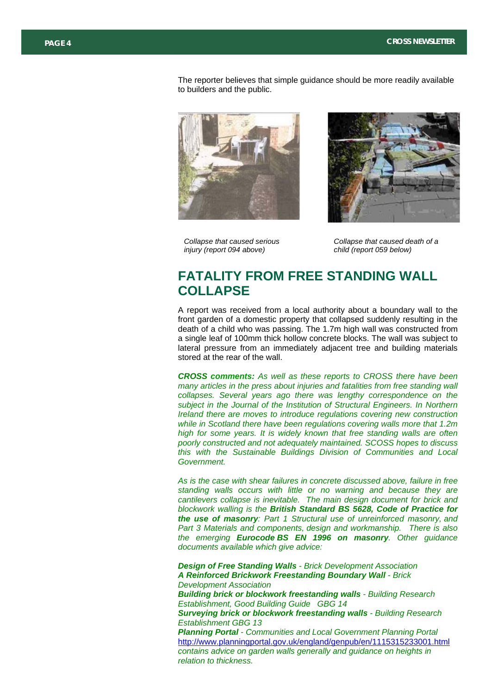The reporter believes that simple guidance should be more readily available to builders and the public.





*Collapse that caused serious injury (report 094 above)* 

*Collapse that caused death of a child (report 059 below)* 

# **FATALITY FROM FREE STANDING WALL COLLAPSE**

A report was received from a local authority about a boundary wall to the front garden of a domestic property that collapsed suddenly resulting in the death of a child who was passing. The 1.7m high wall was constructed from a single leaf of 100mm thick hollow concrete blocks. The wall was subject to lateral pressure from an immediately adjacent tree and building materials stored at the rear of the wall.

*CROSS comments: As well as these reports to CROSS there have been many articles in the press about injuries and fatalities from free standing wall collapses. Several years ago there was lengthy correspondence on the subject in the Journal of the Institution of Structural Engineers. In Northern Ireland there are moves to introduce regulations covering new construction while in Scotland there have been regulations covering walls more that 1.2m high for some years. It is widely known that free standing walls are often poorly constructed and not adequately maintained. SCOSS hopes to discuss this with the Sustainable Buildings Division of Communities and Local Government.* 

*As is the case with shear failures in concrete discussed above, failure in free standing walls occurs with little or no warning and because they are cantilevers collapse is inevitable. The main design document for brick and blockwork walling is the British Standard BS 5628, Code of Practice for the use of masonry: Part 1 Structural use of unreinforced masonry, and Part 3 Materials and components, design and workmanship. There is also the emerging Eurocode BS EN 1996 on masonry. Other guidance documents available which give advice:* 

*Design of Free Standing Walls - Brick Development Association A Reinforced Brickwork Freestanding Boundary Wall - Brick Development Association Building brick or blockwork freestanding walls - Building Research Establishment, Good Building Guide GBG 14 Surveying brick or blockwork freestanding walls - Building Research Establishment GBG 13 Planning Portal - Communities and Local Government Planning Portal*  <http://www.planningportal.gov.uk/england/genpub/en/1115315233001.html> *contains advice on garden walls generally and guidance on heights in relation to thickness.*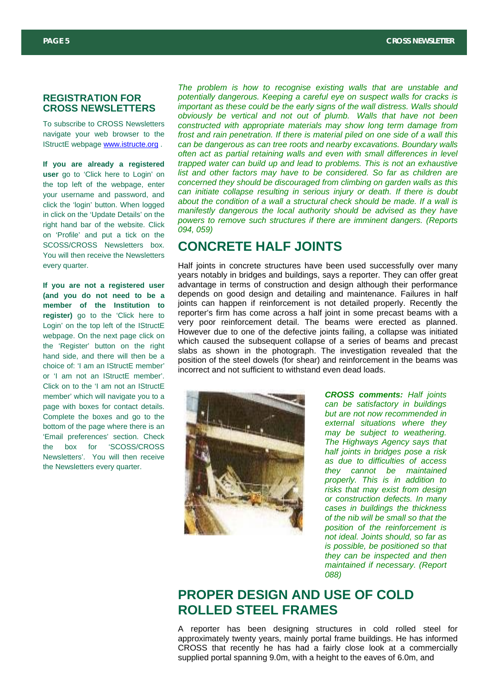#### **REGISTRATION FOR CROSS NEWSLETTERS**

To subscribe to CROSS Newsletters navigate your web browser to the IStructE webpage [www.istructe.org](http://www.istructe.org/) .

**If you are already a registered user** go to 'Click here to Login' on the top left of the webpage, enter your username and password, and click the 'login' button. When logged in click on the 'Update Details' on the right hand bar of the website. Click on 'Profile' and put a tick on the SCOSS/CROSS Newsletters box. You will then receive the Newsletters every quarter.

**If you are not a registered user (and you do not need to be a member of the Institution to register)** go to the 'Click here to Login' on the top left of the IStructE webpage. On the next page click on the 'Register' button on the right hand side, and there will then be a choice of: 'I am an IStructE member' or 'I am not an IStructE member'. Click on to the 'I am not an IStructE member' which will navigate you to a page with boxes for contact details. Complete the boxes and go to the bottom of the page where there is an 'Email preferences' section. Check the box for 'SCOSS/CROSS Newsletters'. You will then receive the Newsletters every quarter.

*The problem is how to recognise existing walls that are unstable and potentially dangerous. Keeping a careful eye on suspect walls for cracks is important as these could be the early signs of the wall distress. Walls should obviously be vertical and not out of plumb. Walls that have not been constructed with appropriate materials may show long term damage from frost and rain penetration. If there is material piled on one side of a wall this can be dangerous as can tree roots and nearby excavations. Boundary walls often act as partial retaining walls and even with small differences in level trapped water can build up and lead to problems. This is not an exhaustive list and other factors may have to be considered. So far as children are concerned they should be discouraged from climbing on garden walls as this can initiate collapse resulting in serious injury or death. If there is doubt about the condition of a wall a structural check should be made. If a wall is manifestly dangerous the local authority should be advised as they have powers to remove such structures if there are imminent dangers. (Reports 094, 059)*

## **CONCRETE HALF JOINTS**

Half joints in concrete structures have been used successfully over many years notably in bridges and buildings, says a reporter. They can offer great advantage in terms of construction and design although their performance depends on good design and detailing and maintenance. Failures in half joints can happen if reinforcement is not detailed properly. Recently the reporter's firm has come across a half joint in some precast beams with a very poor reinforcement detail. The beams were erected as planned. However due to one of the defective joints failing, a collapse was initiated which caused the subsequent collapse of a series of beams and precast slabs as shown in the photograph. The investigation revealed that the position of the steel dowels (for shear) and reinforcement in the beams was incorrect and not sufficient to withstand even dead loads.



*CROSS comments: Half joints can be satisfactory in buildings but are not now recommended in external situations where they may be subject to weathering. The Highways Agency says that half joints in bridges pose a risk as due to difficulties of access they cannot be maintained properly. This is in addition to risks that may exist from design or construction defects. In many cases in buildings the thickness of the nib will be small so that the position of the reinforcement is not ideal. Joints should, so far as is possible, be positioned so that they can be inspected and then maintained if necessary. (Report 088)*

# **PROPER DESIGN AND USE OF COLD ROLLED STEEL FRAMES**

A reporter has been designing structures in cold rolled steel for approximately twenty years, mainly portal frame buildings. He has informed CROSS that recently he has had a fairly close look at a commercially supplied portal spanning 9.0m, with a height to the eaves of 6.0m, and